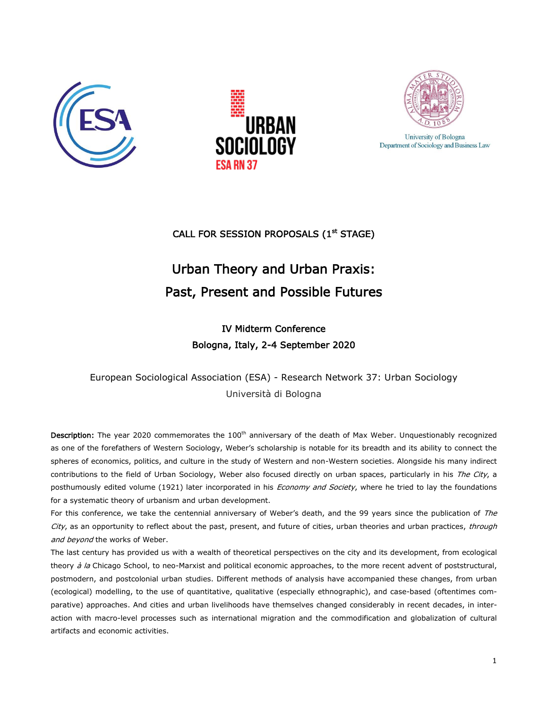





University of Bologna Department of Sociology and Business Law

## CALL FOR SESSION PROPOSALS (1<sup>st</sup> STAGE)

## Urban Theory and Urban Praxis: Past, Present and Possible Futures

## IV Midterm Conference Bologna, Italy, 2-4 September 2020

European Sociological Association (ESA) - Research Network 37: Urban Sociology Università di Bologna

Description: The year 2020 commemorates the 100<sup>th</sup> anniversary of the death of Max Weber. Unquestionably recognized as one of the forefathers of Western Sociology, Weber's scholarship is notable for its breadth and its ability to connect the spheres of economics, politics, and culture in the study of Western and non-Western societies. Alongside his many indirect contributions to the field of Urban Sociology, Weber also focused directly on urban spaces, particularly in his The City, a posthumously edited volume (1921) later incorporated in his *Economy and Society*, where he tried to lay the foundations for a systematic theory of urbanism and urban development.

For this conference, we take the centennial anniversary of Weber's death, and the 99 years since the publication of The City, as an opportunity to reflect about the past, present, and future of cities, urban theories and urban practices, through and beyond the works of Weber.

The last century has provided us with a wealth of theoretical perspectives on the city and its development, from ecological theory  $\dot{a}$  la Chicago School, to neo-Marxist and political economic approaches, to the more recent advent of poststructural, postmodern, and postcolonial urban studies. Different methods of analysis have accompanied these changes, from urban (ecological) modelling, to the use of quantitative, qualitative (especially ethnographic), and case-based (oftentimes comparative) approaches. And cities and urban livelihoods have themselves changed considerably in recent decades, in interaction with macro-level processes such as international migration and the commodification and globalization of cultural artifacts and economic activities.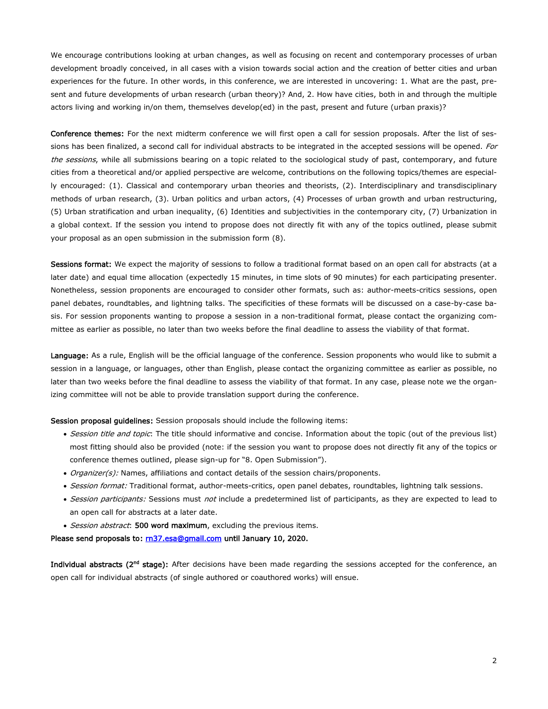We encourage contributions looking at urban changes, as well as focusing on recent and contemporary processes of urban development broadly conceived, in all cases with a vision towards social action and the creation of better cities and urban experiences for the future. In other words, in this conference, we are interested in uncovering: 1. What are the past, present and future developments of urban research (urban theory)? And, 2. How have cities, both in and through the multiple actors living and working in/on them, themselves develop(ed) in the past, present and future (urban praxis)?

Conference themes: For the next midterm conference we will first open a call for session proposals. After the list of sessions has been finalized, a second call for individual abstracts to be integrated in the accepted sessions will be opened. For the sessions, while all submissions bearing on a topic related to the sociological study of past, contemporary, and future cities from a theoretical and/or applied perspective are welcome, contributions on the following topics/themes are especially encouraged: (1). Classical and contemporary urban theories and theorists, (2). Interdisciplinary and transdisciplinary methods of urban research, (3). Urban politics and urban actors, (4) Processes of urban growth and urban restructuring, (5) Urban stratification and urban inequality, (6) Identities and subjectivities in the contemporary city, (7) Urbanization in a global context. If the session you intend to propose does not directly fit with any of the topics outlined, please submit your proposal as an open submission in the submission form (8).

Sessions format: We expect the majority of sessions to follow a traditional format based on an open call for abstracts (at a later date) and equal time allocation (expectedly 15 minutes, in time slots of 90 minutes) for each participating presenter. Nonetheless, session proponents are encouraged to consider other formats, such as: author-meets-critics sessions, open panel debates, roundtables, and lightning talks. The specificities of these formats will be discussed on a case-by-case basis. For session proponents wanting to propose a session in a non-traditional format, please contact the organizing committee as earlier as possible, no later than two weeks before the final deadline to assess the viability of that format.

Language: As a rule, English will be the official language of the conference. Session proponents who would like to submit a session in a language, or languages, other than English, please contact the organizing committee as earlier as possible, no later than two weeks before the final deadline to assess the viability of that format. In any case, please note we the organizing committee will not be able to provide translation support during the conference.

Session proposal guidelines: Session proposals should include the following items:

- Session title and topic: The title should informative and concise. Information about the topic (out of the previous list) most fitting should also be provided (note: if the session you want to propose does not directly fit any of the topics or conference themes outlined, please sign-up for "8. Open Submission").
- Organizer(s): Names, affiliations and contact details of the session chairs/proponents.
- · Session format: Traditional format, author-meets-critics, open panel debates, roundtables, lightning talk sessions.
- Session participants: Sessions must not include a predetermined list of participants, as they are expected to lead to an open call for abstracts at a later date.
- Session abstract: 500 word maximum, excluding the previous items.

Please send proposals to: [rn37.esa@gmail.com](mailto:rn37.esa@gmail.com) until January 10, 2020.

Individual abstracts (2<sup>nd</sup> stage): After decisions have been made regarding the sessions accepted for the conference, an open call for individual abstracts (of single authored or coauthored works) will ensue.